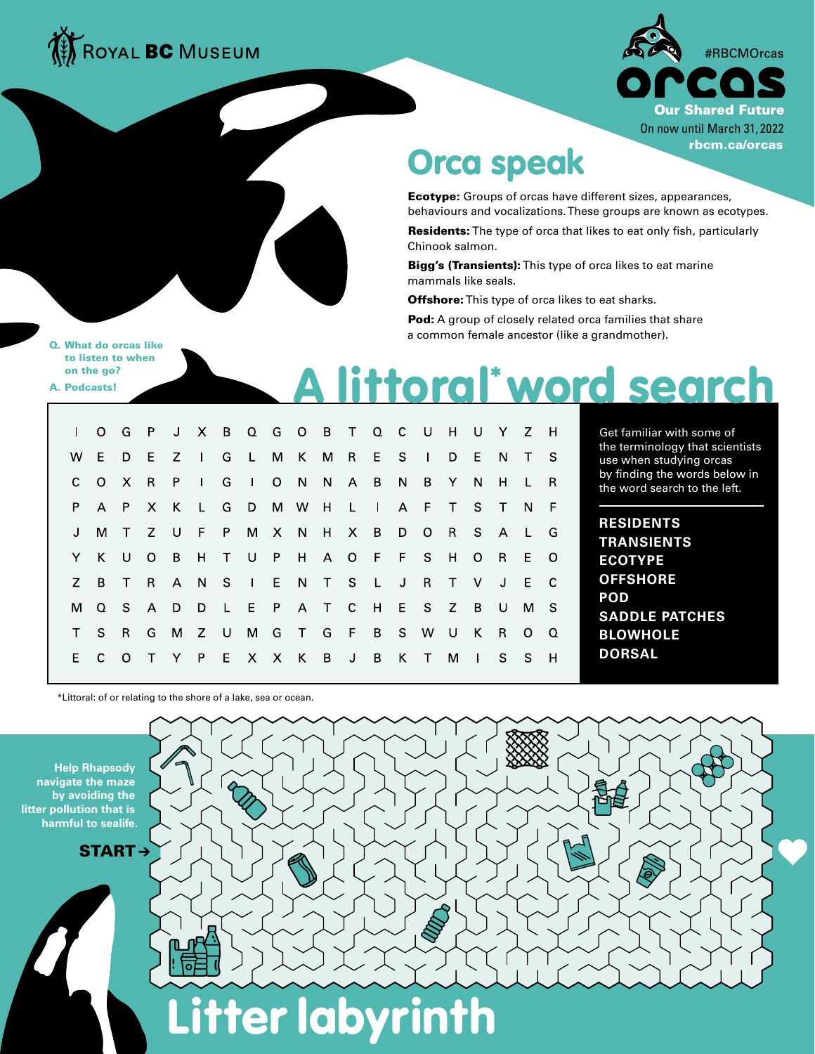



## Orca speak

Ecotype: Groups of orcas have different sizes, appearances, behaviours and vocalizations. These groups are known as ecotypes.

Residents: The type of orca that likes to eat only fish, particularly Chinook salmon.

Bigg's (Transients): This type of orca likes to eat marine mammals like seals.

Offshore: This type of orca likes to eat sharks.

Pod: A group of closely related orca families that share a common female ancestor (like a grandmother).

Q. What do orcas like to listen to when on the go? A. Podcasts!

## A littoral\* word search

|     |  |  |  |  | I O G P J X B Q G O B T Q C U H U Y Z H |  |  |   |  |      |  |
|-----|--|--|--|--|-----------------------------------------|--|--|---|--|------|--|
|     |  |  |  |  | W E D E Z I G L M K M R E S I D E N T S |  |  |   |  |      |  |
|     |  |  |  |  | C O X R P I G I O N N A B N B Y N H L R |  |  |   |  |      |  |
|     |  |  |  |  | P A P X K L G D M W H L I A F T S T N F |  |  |   |  |      |  |
|     |  |  |  |  | M T Z U F P M X N H X B D O R S A L G   |  |  |   |  |      |  |
|     |  |  |  |  | Y K U O B H T U P H A O F F S H O R E O |  |  |   |  |      |  |
| Z – |  |  |  |  | B T R A N S I E N T S L J R T V J E C   |  |  |   |  |      |  |
|     |  |  |  |  | M Q S A D D L E P A T C H E S Z B U M S |  |  |   |  |      |  |
|     |  |  |  |  | T S R G M Z U M G T G F B S W U K R O Q |  |  |   |  |      |  |
|     |  |  |  |  | E C O T Y P E X X K B J B K T           |  |  | M |  | ISSH |  |

Litter labyrinth

Get familiar with some of the terminology that scientists use when studying orcas by finding the words below in the word search to the left.

**RESIDENTS TRANSIENTS ECOTYPE OFFSHORE POD SADDLE PATCHES BLOWHOLE DORSAL**

\*Littoral: of or relating to the shore of a lake, sea or ocean.



START →